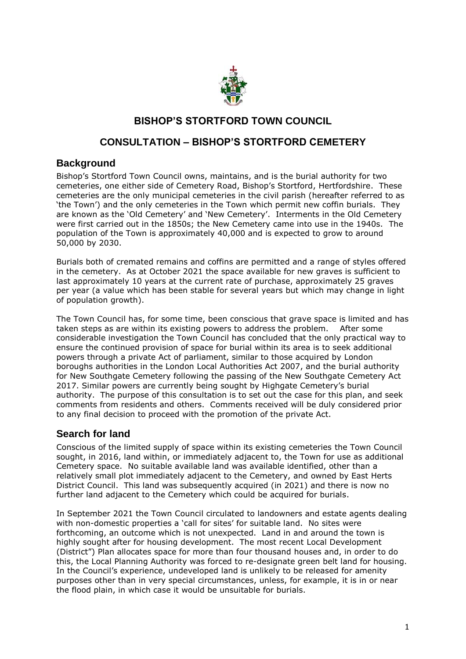

## **BISHOP'S STORTFORD TOWN COUNCIL**

# **CONSULTATION – BISHOP'S STORTFORD CEMETERY**

### **Background**

Bishop's Stortford Town Council owns, maintains, and is the burial authority for two cemeteries, one either side of Cemetery Road, Bishop's Stortford, Hertfordshire. These cemeteries are the only municipal cemeteries in the civil parish (hereafter referred to as 'the Town') and the only cemeteries in the Town which permit new coffin burials. They are known as the 'Old Cemetery' and 'New Cemetery'. Interments in the Old Cemetery were first carried out in the 1850s; the New Cemetery came into use in the 1940s. The population of the Town is approximately 40,000 and is expected to grow to around 50,000 by 2030.

Burials both of cremated remains and coffins are permitted and a range of styles offered in the cemetery. As at October 2021 the space available for new graves is sufficient to last approximately 10 years at the current rate of purchase, approximately 25 graves per year (a value which has been stable for several years but which may change in light of population growth).

The Town Council has, for some time, been conscious that grave space is limited and has taken steps as are within its existing powers to address the problem. After some considerable investigation the Town Council has concluded that the only practical way to ensure the continued provision of space for burial within its area is to seek additional powers through a private Act of parliament, similar to those acquired by London boroughs authorities in the London Local Authorities Act 2007, and the burial authority for New Southgate Cemetery following the passing of the New Southgate Cemetery Act 2017. Similar powers are currently being sought by Highgate Cemetery's burial authority. The purpose of this consultation is to set out the case for this plan, and seek comments from residents and others. Comments received will be duly considered prior to any final decision to proceed with the promotion of the private Act.

### **Search for land**

Conscious of the limited supply of space within its existing cemeteries the Town Council sought, in 2016, land within, or immediately adjacent to, the Town for use as additional Cemetery space. No suitable available land was available identified, other than a relatively small plot immediately adjacent to the Cemetery, and owned by East Herts District Council. This land was subsequently acquired (in 2021) and there is now no further land adjacent to the Cemetery which could be acquired for burials.

In September 2021 the Town Council circulated to landowners and estate agents dealing with non-domestic properties a 'call for sites' for suitable land. No sites were forthcoming, an outcome which is not unexpected. Land in and around the town is highly sought after for housing development. The most recent Local Development (District") Plan allocates space for more than four thousand houses and, in order to do this, the Local Planning Authority was forced to re-designate green belt land for housing. In the Council's experience, undeveloped land is unlikely to be released for amenity purposes other than in very special circumstances, unless, for example, it is in or near the flood plain, in which case it would be unsuitable for burials.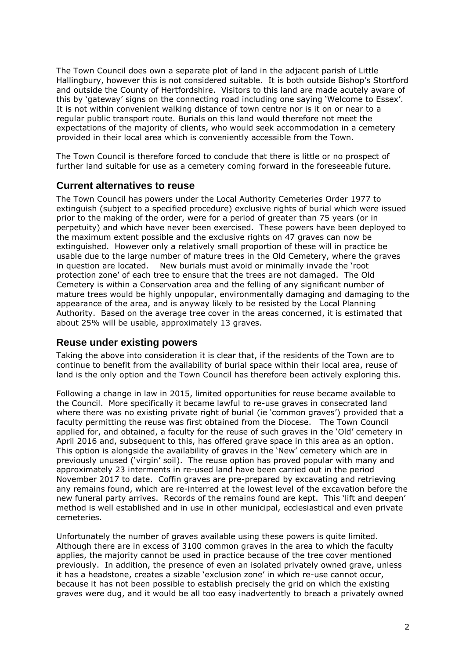The Town Council does own a separate plot of land in the adjacent parish of Little Hallingbury, however this is not considered suitable. It is both outside Bishop's Stortford and outside the County of Hertfordshire. Visitors to this land are made acutely aware of this by 'gateway' signs on the connecting road including one saying 'Welcome to Essex'. It is not within convenient walking distance of town centre nor is it on or near to a regular public transport route. Burials on this land would therefore not meet the expectations of the majority of clients, who would seek accommodation in a cemetery provided in their local area which is conveniently accessible from the Town.

The Town Council is therefore forced to conclude that there is little or no prospect of further land suitable for use as a cemetery coming forward in the foreseeable future.

#### **Current alternatives to reuse**

The Town Council has powers under the Local Authority Cemeteries Order 1977 to extinguish (subject to a specified procedure) exclusive rights of burial which were issued prior to the making of the order, were for a period of greater than 75 years (or in perpetuity) and which have never been exercised. These powers have been deployed to the maximum extent possible and the exclusive rights on 47 graves can now be extinguished. However only a relatively small proportion of these will in practice be usable due to the large number of mature trees in the Old Cemetery, where the graves in question are located. New burials must avoid or minimally invade the 'root protection zone' of each tree to ensure that the trees are not damaged. The Old Cemetery is within a Conservation area and the felling of any significant number of mature trees would be highly unpopular, environmentally damaging and damaging to the appearance of the area, and is anyway likely to be resisted by the Local Planning Authority. Based on the average tree cover in the areas concerned, it is estimated that about 25% will be usable, approximately 13 graves.

#### **Reuse under existing powers**

Taking the above into consideration it is clear that, if the residents of the Town are to continue to benefit from the availability of burial space within their local area, reuse of land is the only option and the Town Council has therefore been actively exploring this.

Following a change in law in 2015, limited opportunities for reuse became available to the Council. More specifically it became lawful to re-use graves in consecrated land where there was no existing private right of burial (ie 'common graves') provided that a faculty permitting the reuse was first obtained from the Diocese. The Town Council applied for, and obtained, a faculty for the reuse of such graves in the 'Old' cemetery in April 2016 and, subsequent to this, has offered grave space in this area as an option. This option is alongside the availability of graves in the 'New' cemetery which are in previously unused ('virgin' soil). The reuse option has proved popular with many and approximately 23 interments in re-used land have been carried out in the period November 2017 to date. Coffin graves are pre-prepared by excavating and retrieving any remains found, which are re-interred at the lowest level of the excavation before the new funeral party arrives. Records of the remains found are kept. This 'lift and deepen' method is well established and in use in other municipal, ecclesiastical and even private cemeteries.

Unfortunately the number of graves available using these powers is quite limited. Although there are in excess of 3100 common graves in the area to which the faculty applies, the majority cannot be used in practice because of the tree cover mentioned previously. In addition, the presence of even an isolated privately owned grave, unless it has a headstone, creates a sizable 'exclusion zone' in which re-use cannot occur, because it has not been possible to establish precisely the grid on which the existing graves were dug, and it would be all too easy inadvertently to breach a privately owned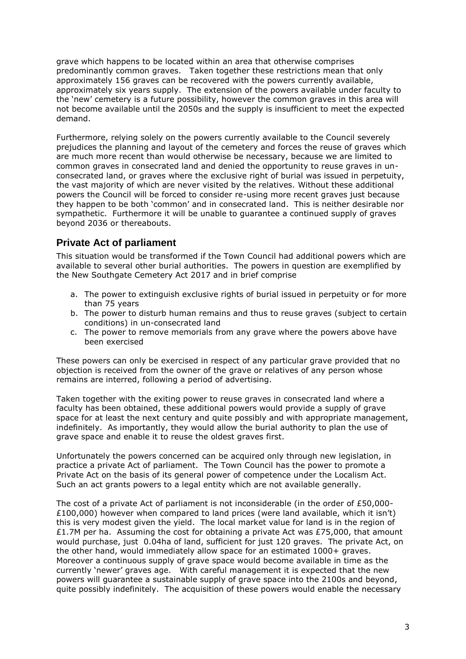grave which happens to be located within an area that otherwise comprises predominantly common graves. Taken together these restrictions mean that only approximately 156 graves can be recovered with the powers currently available, approximately six years supply. The extension of the powers available under faculty to the 'new' cemetery is a future possibility, however the common graves in this area will not become available until the 2050s and the supply is insufficient to meet the expected demand.

Furthermore, relying solely on the powers currently available to the Council severely prejudices the planning and layout of the cemetery and forces the reuse of graves which are much more recent than would otherwise be necessary, because we are limited to common graves in consecrated land and denied the opportunity to reuse graves in unconsecrated land, or graves where the exclusive right of burial was issued in perpetuity, the vast majority of which are never visited by the relatives. Without these additional powers the Council will be forced to consider re-using more recent graves just because they happen to be both 'common' and in consecrated land. This is neither desirable nor sympathetic. Furthermore it will be unable to guarantee a continued supply of graves beyond 2036 or thereabouts.

### **Private Act of parliament**

This situation would be transformed if the Town Council had additional powers which are available to several other burial authorities. The powers in question are exemplified by the New Southgate Cemetery Act 2017 and in brief comprise

- a. The power to extinguish exclusive rights of burial issued in perpetuity or for more than 75 years
- b. The power to disturb human remains and thus to reuse graves (subject to certain conditions) in un-consecrated land
- c. The power to remove memorials from any grave where the powers above have been exercised

These powers can only be exercised in respect of any particular grave provided that no objection is received from the owner of the grave or relatives of any person whose remains are interred, following a period of advertising.

Taken together with the exiting power to reuse graves in consecrated land where a faculty has been obtained, these additional powers would provide a supply of grave space for at least the next century and quite possibly and with appropriate management, indefinitely. As importantly, they would allow the burial authority to plan the use of grave space and enable it to reuse the oldest graves first.

Unfortunately the powers concerned can be acquired only through new legislation, in practice a private Act of parliament. The Town Council has the power to promote a Private Act on the basis of its general power of competence under the Localism Act. Such an act grants powers to a legal entity which are not available generally.

The cost of a private Act of parliament is not inconsiderable (in the order of £50,000- £100,000) however when compared to land prices (were land available, which it isn't) this is very modest given the yield. The local market value for land is in the region of £1.7M per ha. Assuming the cost for obtaining a private Act was £75,000, that amount would purchase, just 0.04ha of land, sufficient for just 120 graves. The private Act, on the other hand, would immediately allow space for an estimated 1000+ graves. Moreover a continuous supply of grave space would become available in time as the currently 'newer' graves age. With careful management it is expected that the new powers will guarantee a sustainable supply of grave space into the 2100s and beyond, quite possibly indefinitely. The acquisition of these powers would enable the necessary